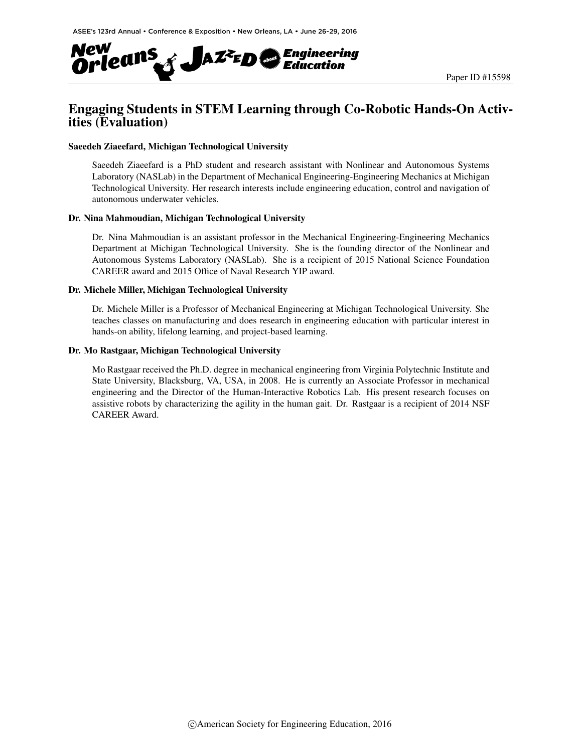

# Engaging Students in STEM Learning through Co-Robotic Hands-On Activities (Evaluation)

#### Saeedeh Ziaeefard, Michigan Technological University

Saeedeh Ziaeefard is a PhD student and research assistant with Nonlinear and Autonomous Systems Laboratory (NASLab) in the Department of Mechanical Engineering-Engineering Mechanics at Michigan Technological University. Her research interests include engineering education, control and navigation of autonomous underwater vehicles.

#### Dr. Nina Mahmoudian, Michigan Technological University

Dr. Nina Mahmoudian is an assistant professor in the Mechanical Engineering-Engineering Mechanics Department at Michigan Technological University. She is the founding director of the Nonlinear and Autonomous Systems Laboratory (NASLab). She is a recipient of 2015 National Science Foundation CAREER award and 2015 Office of Naval Research YIP award.

#### Dr. Michele Miller, Michigan Technological University

Dr. Michele Miller is a Professor of Mechanical Engineering at Michigan Technological University. She teaches classes on manufacturing and does research in engineering education with particular interest in hands-on ability, lifelong learning, and project-based learning.

#### Dr. Mo Rastgaar, Michigan Technological University

Mo Rastgaar received the Ph.D. degree in mechanical engineering from Virginia Polytechnic Institute and State University, Blacksburg, VA, USA, in 2008. He is currently an Associate Professor in mechanical engineering and the Director of the Human-Interactive Robotics Lab. His present research focuses on assistive robots by characterizing the agility in the human gait. Dr. Rastgaar is a recipient of 2014 NSF CAREER Award.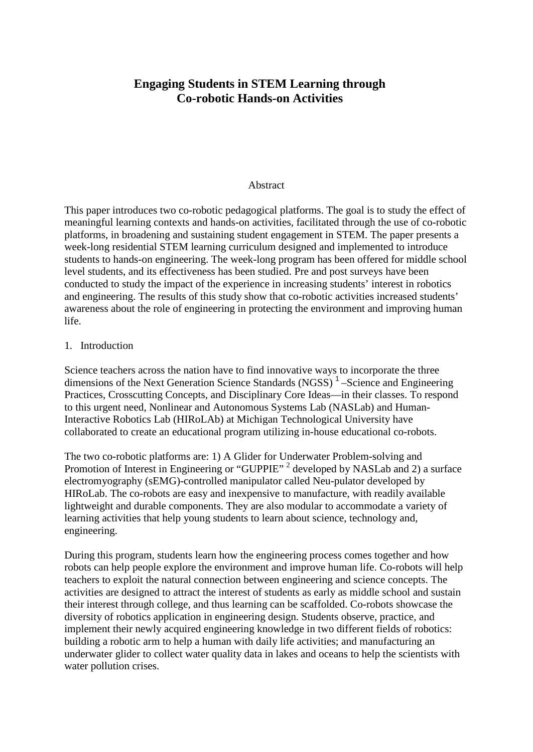# **Engaging Students in STEM Learning through Co-robotic Hands-on Activities**

### Abstract

This paper introduces two co-robotic pedagogical platforms. The goal is to study the effect of meaningful learning contexts and hands-on activities, facilitated through the use of co-robotic platforms, in broadening and sustaining student engagement in STEM. The paper presents a week-long residential STEM learning curriculum designed and implemented to introduce students to hands-on engineering. The week-long program has been offered for middle school level students, and its effectiveness has been studied. Pre and post surveys have been conducted to study the impact of the experience in increasing students' interest in robotics and engineering. The results of this study show that co-robotic activities increased students' awareness about the role of engineering in protecting the environment and improving human life.

### 1. Introduction

Science teachers across the nation have to find innovative ways to incorporate the three dimensions of the Next Generation Science Standards  $(NGSS)^{-1}$  –Science and Engineering Practices, Crosscutting Concepts, and Disciplinary Core Ideas—in their classes. To respond to this urgent need, Nonlinear and Autonomous Systems Lab (NASLab) and Human-Interactive Robotics Lab (HIRoLAb) at Michigan Technological University have collaborated to create an educational program utilizing in-house educational co-robots.

The two co-robotic platforms are: 1) A Glider for Underwater Problem-solving and Promotion of Interest in Engineering or "GUPPIE"<sup>2</sup> developed by NASLab and 2) a surface electromyography (sEMG)-controlled manipulator called Neu-pulator developed by HIRoLab. The co-robots are easy and inexpensive to manufacture, with readily available lightweight and durable components. They are also modular to accommodate a variety of learning activities that help young students to learn about science, technology and, engineering.

During this program, students learn how the engineering process comes together and how robots can help people explore the environment and improve human life. Co-robots will help teachers to exploit the natural connection between engineering and science concepts. The activities are designed to attract the interest of students as early as middle school and sustain their interest through college, and thus learning can be scaffolded. Co-robots showcase the diversity of robotics application in engineering design. Students observe, practice, and implement their newly acquired engineering knowledge in two different fields of robotics: building a robotic arm to help a human with daily life activities; and manufacturing an underwater glider to collect water quality data in lakes and oceans to help the scientists with water pollution crises.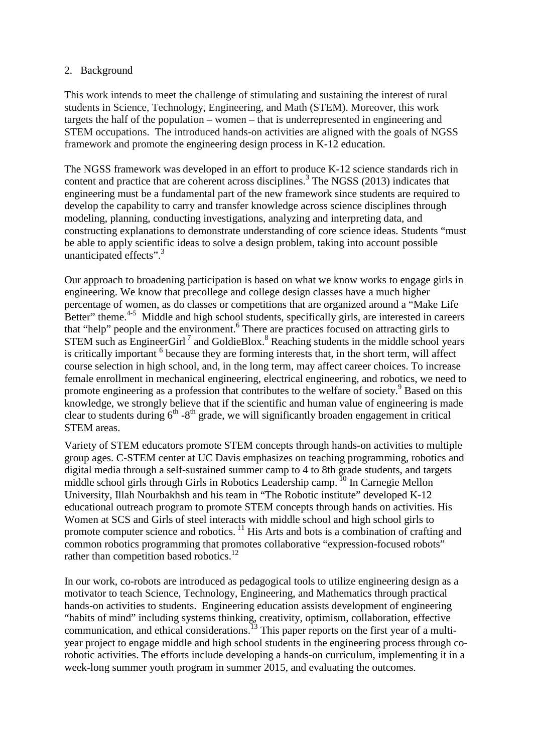## 2. Background

This work intends to meet the challenge of stimulating and sustaining the interest of rural students in Science, Technology, Engineering, and Math (STEM). Moreover, this work targets the half of the population – women – that is underrepresented in engineering and STEM occupations. The introduced hands-on activities are aligned with the goals of NGSS framework and promote the engineering design process in K-12 education.

The NGSS framework was developed in an effort to produce K-12 science standards rich in content and practice that are coherent across disciplines.<sup>3</sup> The NGSS (2013) indicates that engineering must be a fundamental part of the new framework since students are required to develop the capability to carry and transfer knowledge across science disciplines through modeling, planning, conducting investigations, analyzing and interpreting data, and constructing explanations to demonstrate understanding of core science ideas. Students "must be able to apply scientific ideas to solve a design problem, taking into account possible unanticipated effects".<sup>3</sup>

Our approach to broadening participation is based on what we know works to engage girls in engineering. We know that precollege and college design classes have a much higher percentage of women, as do classes or competitions that are organized around a "Make Life Better" theme.<sup>4-5</sup> Middle and high school students, specifically girls, are interested in careers that "help" people and the environment.<sup>6</sup> There are practices focused on attracting girls to STEM such as EngineerGirl<sup>7</sup> and GoldieBlox.<sup>8</sup> Reaching students in the middle school years is critically important  $<sup>6</sup>$  because they are forming interests that, in the short term, will affect</sup> course selection in high school, and, in the long term, may affect career choices. To increase female enrollment in mechanical engineering, electrical engineering, and robotics, we need to promote engineering as a profession that contributes to the welfare of society.<sup>9</sup> Based on this knowledge, we strongly believe that if the scientific and human value of engineering is made clear to students during  $6<sup>th</sup> - 8<sup>th</sup>$  grade, we will significantly broaden engagement in critical STEM areas.

Variety of STEM educators promote STEM concepts through hands-on activities to multiple group ages. C-STEM center at UC Davis emphasizes on teaching programming, robotics and digital media through a self-sustained summer camp to 4 to 8th grade students, and targets middle school girls through Girls in Robotics Leadership camp.<sup>10</sup> In Carnegie Mellon University, Illah Nourbakhsh and his team in "The Robotic institute" developed K-12 educational outreach program to promote STEM concepts through hands on activities. His Women at SCS and Girls of steel interacts with middle school and high school girls to promote computer science and robotics.<sup>11</sup> His Arts and bots is a combination of crafting and common robotics programming that promotes collaborative "expression-focused robots" rather than competition based robotics.<sup>12</sup>

In our work, co-robots are introduced as pedagogical tools to utilize engineering design as a motivator to teach Science, Technology, Engineering, and Mathematics through practical hands-on activities to students. Engineering education assists development of engineering "habits of mind" including systems thinking, creativity, optimism, collaboration, effective communication, and ethical considerations.<sup>13</sup> This paper reports on the first year of a multiyear project to engage middle and high school students in the engineering process through corobotic activities. The efforts include developing a hands-on curriculum, implementing it in a week-long summer youth program in summer 2015, and evaluating the outcomes.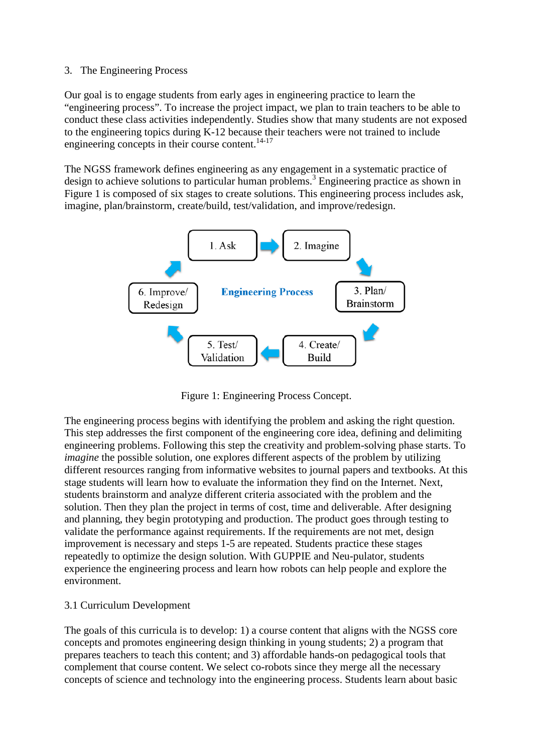## 3. The Engineering Process

Our goal is to engage students from early ages in engineering practice to learn the "engineering process". To increase the project impact, we plan to train teachers to be able to conduct these class activities independently. Studies show that many students are not exposed to the engineering topics during K-12 because their teachers were not trained to include engineering concepts in their course content.<sup>14-17</sup>

The NGSS framework defines engineering as any engagement in a systematic practice of design to achieve solutions to particular human problems.<sup>3</sup> Engineering practice as shown in Figure 1 is composed of six stages to create solutions. This engineering process includes ask, imagine, plan/brainstorm, create/build, test/validation, and improve/redesign.



Figure 1: Engineering Process Concept.

The engineering process begins with identifying the problem and asking the right question. This step addresses the first component of the engineering core idea, defining and delimiting engineering problems. Following this step the creativity and problem-solving phase starts. To *imagine* the possible solution, one explores different aspects of the problem by utilizing different resources ranging from informative websites to journal papers and textbooks. At this stage students will learn how to evaluate the information they find on the Internet. Next, students brainstorm and analyze different criteria associated with the problem and the solution. Then they plan the project in terms of cost, time and deliverable. After designing and planning, they begin prototyping and production. The product goes through testing to validate the performance against requirements. If the requirements are not met, design improvement is necessary and steps 1-5 are repeated. Students practice these stages repeatedly to optimize the design solution. With GUPPIE and Neu-pulator, students experience the engineering process and learn how robots can help people and explore the environment.

## 3.1 Curriculum Development

The goals of this curricula is to develop: 1) a course content that aligns with the NGSS core concepts and promotes engineering design thinking in young students; 2) a program that prepares teachers to teach this content; and 3) affordable hands-on pedagogical tools that complement that course content. We select co-robots since they merge all the necessary concepts of science and technology into the engineering process. Students learn about basic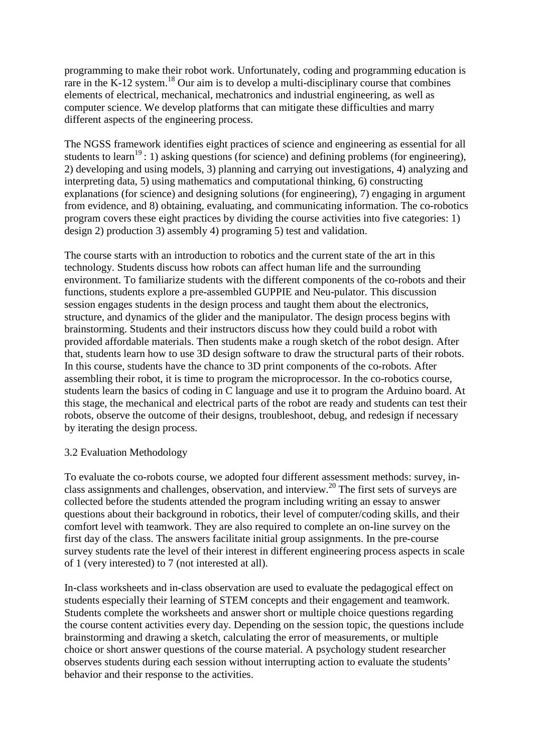programming to make their robot work. Unfortunately, coding and programming education is rare in the K-12 system.<sup>18</sup> Our aim is to develop a multi-disciplinary course that combines elements of electrical, mechanical, mechatronics and industrial engineering, as well as computer science. We develop platforms that can mitigate these difficulties and marry different aspects of the engineering process.

The NGSS framework identifies eight practices of science and engineering as essential for all students to learn<sup>19</sup>: 1) asking questions (for science) and defining problems (for engineering), 2) developing and using models, 3) planning and carrying out investigations, 4) analyzing and interpreting data, 5) using mathematics and computational thinking, 6) constructing explanations (for science) and designing solutions (for engineering), 7) engaging in argument from evidence, and 8) obtaining, evaluating, and communicating information. The co-robotics program covers these eight practices by dividing the course activities into five categories: 1) design 2) production 3) assembly 4) programing 5) test and validation.

The course starts with an introduction to robotics and the current state of the art in this technology. Students discuss how robots can affect human life and the surrounding environment. To familiarize students with the different components of the co-robots and their functions, students explore a pre-assembled GUPPIE and Neu-pulator. This discussion session engages students in the design process and taught them about the electronics, structure, and dynamics of the glider and the manipulator. The design process begins with brainstorming. Students and their instructors discuss how they could build a robot with provided affordable materials. Then students make a rough sketch of the robot design. After that, students learn how to use 3D design software to draw the structural parts of their robots. In this course, students have the chance to 3D print components of the co-robots. After assembling their robot, it is time to program the microprocessor. In the co-robotics course, students learn the basics of coding in C language and use it to program the Arduino board. At this stage, the mechanical and electrical parts of the robot are ready and students can test their robots, observe the outcome of their designs, troubleshoot, debug, and redesign if necessary by iterating the design process.

## 3.2 Evaluation Methodology

To evaluate the co-robots course, we adopted four different assessment methods: survey, inclass assignments and challenges, observation, and interview.<sup>20</sup> The first sets of surveys are collected before the students attended the program including writing an essay to answer questions about their background in robotics, their level of computer/coding skills, and their comfort level with teamwork. They are also required to complete an on-line survey on the first day of the class. The answers facilitate initial group assignments. In the pre-course survey students rate the level of their interest in different engineering process aspects in scale of 1 (very interested) to 7 (not interested at all).

In-class worksheets and in-class observation are used to evaluate the pedagogical effect on students especially their learning of STEM concepts and their engagement and teamwork. Students complete the worksheets and answer short or multiple choice questions regarding the course content activities every day. Depending on the session topic, the questions include brainstorming and drawing a sketch, calculating the error of measurements, or multiple choice or short answer questions of the course material. A psychology student researcher observes students during each session without interrupting action to evaluate the students' behavior and their response to the activities.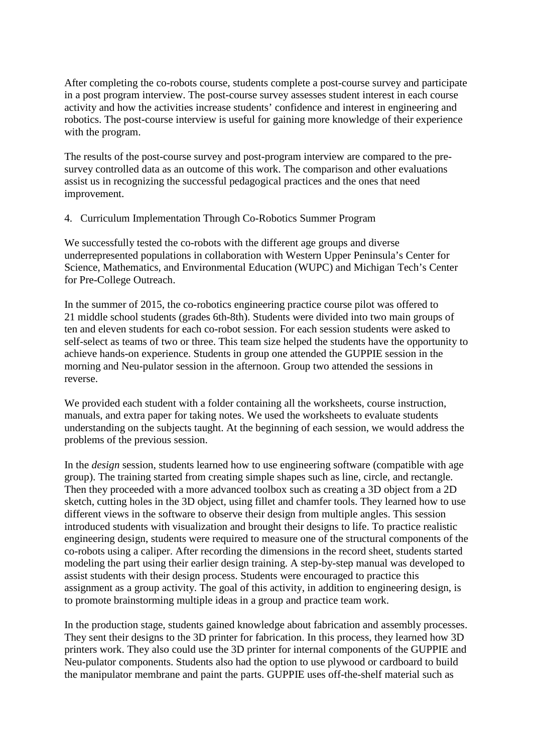After completing the co-robots course, students complete a post-course survey and participate in a post program interview. The post-course survey assesses student interest in each course activity and how the activities increase students' confidence and interest in engineering and robotics. The post-course interview is useful for gaining more knowledge of their experience with the program.

The results of the post-course survey and post-program interview are compared to the presurvey controlled data as an outcome of this work. The comparison and other evaluations assist us in recognizing the successful pedagogical practices and the ones that need improvement.

4. Curriculum Implementation Through Co-Robotics Summer Program

We successfully tested the co-robots with the different age groups and diverse underrepresented populations in collaboration with Western Upper Peninsula's Center for Science, Mathematics, and Environmental Education (WUPC) and Michigan Tech's Center for Pre-College Outreach.

In the summer of 2015, the co-robotics engineering practice course pilot was offered to 21 middle school students (grades 6th-8th). Students were divided into two main groups of ten and eleven students for each co-robot session. For each session students were asked to self-select as teams of two or three. This team size helped the students have the opportunity to achieve hands-on experience. Students in group one attended the GUPPIE session in the morning and Neu-pulator session in the afternoon. Group two attended the sessions in reverse.

We provided each student with a folder containing all the worksheets, course instruction, manuals, and extra paper for taking notes. We used the worksheets to evaluate students understanding on the subjects taught. At the beginning of each session, we would address the problems of the previous session.

In the *design* session, students learned how to use engineering software (compatible with age group). The training started from creating simple shapes such as line, circle, and rectangle. Then they proceeded with a more advanced toolbox such as creating a 3D object from a 2D sketch, cutting holes in the 3D object, using fillet and chamfer tools. They learned how to use different views in the software to observe their design from multiple angles. This session introduced students with visualization and brought their designs to life. To practice realistic engineering design, students were required to measure one of the structural components of the co-robots using a caliper. After recording the dimensions in the record sheet, students started modeling the part using their earlier design training. A step-by-step manual was developed to assist students with their design process. Students were encouraged to practice this assignment as a group activity. The goal of this activity, in addition to engineering design, is to promote brainstorming multiple ideas in a group and practice team work.

In the production stage, students gained knowledge about fabrication and assembly processes. They sent their designs to the 3D printer for fabrication. In this process, they learned how 3D printers work. They also could use the 3D printer for internal components of the GUPPIE and Neu-pulator components. Students also had the option to use plywood or cardboard to build the manipulator membrane and paint the parts. GUPPIE uses off-the-shelf material such as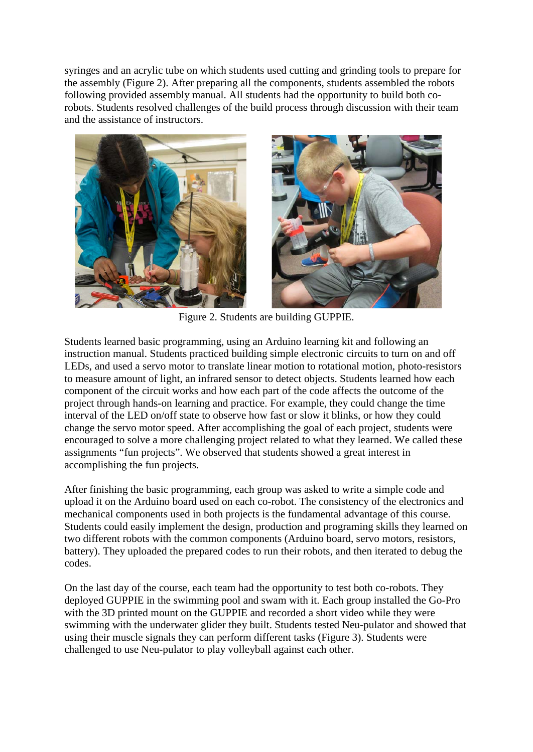syringes and an acrylic tube on which students used cutting and grinding tools to prepare for the assembly (Figure 2). After preparing all the components, students assembled the robots following provided assembly manual. All students had the opportunity to build both corobots. Students resolved challenges of the build process through discussion with their team and the assistance of instructors.



Figure 2. Students are building GUPPIE.

Students learned basic programming, using an Arduino learning kit and following an instruction manual. Students practiced building simple electronic circuits to turn on and off LEDs, and used a servo motor to translate linear motion to rotational motion, photo-resistors to measure amount of light, an infrared sensor to detect objects. Students learned how each component of the circuit works and how each part of the code affects the outcome of the project through hands-on learning and practice. For example, they could change the time interval of the LED on/off state to observe how fast or slow it blinks, or how they could change the servo motor speed. After accomplishing the goal of each project, students were encouraged to solve a more challenging project related to what they learned. We called these assignments "fun projects". We observed that students showed a great interest in accomplishing the fun projects.

After finishing the basic programming, each group was asked to write a simple code and upload it on the Arduino board used on each co-robot. The consistency of the electronics and mechanical components used in both projects is the fundamental advantage of this course. Students could easily implement the design, production and programing skills they learned on two different robots with the common components (Arduino board, servo motors, resistors, battery). They uploaded the prepared codes to run their robots, and then iterated to debug the codes.

On the last day of the course, each team had the opportunity to test both co-robots. They deployed GUPPIE in the swimming pool and swam with it. Each group installed the Go-Pro with the 3D printed mount on the GUPPIE and recorded a short video while they were swimming with the underwater glider they built. Students tested Neu-pulator and showed that using their muscle signals they can perform different tasks (Figure 3). Students were challenged to use Neu-pulator to play volleyball against each other.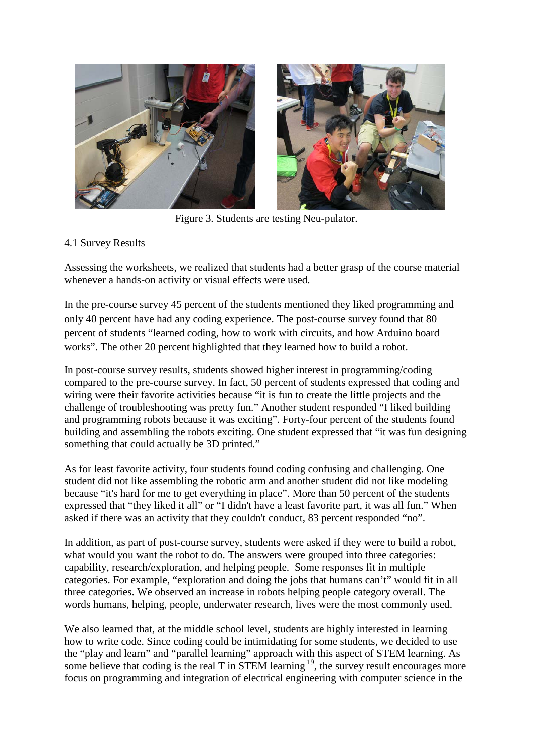

Figure 3. Students are testing Neu-pulator.

# 4.1 Survey Results

Assessing the worksheets, we realized that students had a better grasp of the course material whenever a hands-on activity or visual effects were used.

In the pre-course survey 45 percent of the students mentioned they liked programming and only 40 percent have had any coding experience. The post-course survey found that 80 percent of students "learned coding, how to work with circuits, and how Arduino board works". The other 20 percent highlighted that they learned how to build a robot.

In post-course survey results, students showed higher interest in programming/coding compared to the pre-course survey. In fact, 50 percent of students expressed that coding and wiring were their favorite activities because "it is fun to create the little projects and the challenge of troubleshooting was pretty fun." Another student responded "I liked building and programming robots because it was exciting". Forty-four percent of the students found building and assembling the robots exciting. One student expressed that "it was fun designing something that could actually be 3D printed."

As for least favorite activity, four students found coding confusing and challenging. One student did not like assembling the robotic arm and another student did not like modeling because "it's hard for me to get everything in place". More than 50 percent of the students expressed that "they liked it all" or "I didn't have a least favorite part, it was all fun." When asked if there was an activity that they couldn't conduct, 83 percent responded "no".

In addition, as part of post-course survey, students were asked if they were to build a robot, what would you want the robot to do. The answers were grouped into three categories: capability, research/exploration, and helping people. Some responses fit in multiple categories. For example, "exploration and doing the jobs that humans can't" would fit in all three categories. We observed an increase in robots helping people category overall. The words humans, helping, people, underwater research, lives were the most commonly used.

We also learned that, at the middle school level, students are highly interested in learning how to write code. Since coding could be intimidating for some students, we decided to use the "play and learn" and "parallel learning" approach with this aspect of STEM learning. As some believe that coding is the real T in STEM learning  $^{19}$ , the survey result encourages more focus on programming and integration of electrical engineering with computer science in the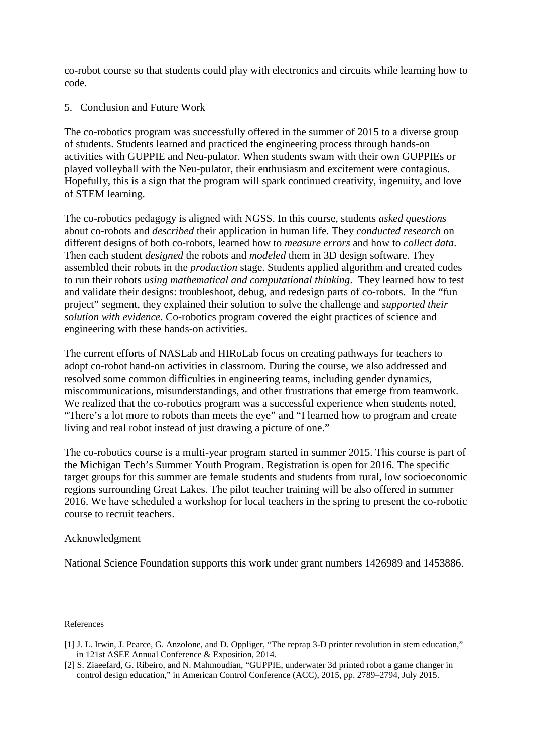co-robot course so that students could play with electronics and circuits while learning how to code.

## 5. Conclusion and Future Work

The co-robotics program was successfully offered in the summer of 2015 to a diverse group of students. Students learned and practiced the engineering process through hands-on activities with GUPPIE and Neu-pulator. When students swam with their own GUPPIEs or played volleyball with the Neu-pulator, their enthusiasm and excitement were contagious. Hopefully, this is a sign that the program will spark continued creativity, ingenuity, and love of STEM learning.

The co-robotics pedagogy is aligned with NGSS. In this course, students *asked questions*  about co-robots and *described* their application in human life. They *conducted research* on different designs of both co-robots, learned how to *measure errors* and how to *collect data*. Then each student *designed* the robots and *modeled* them in 3D design software. They assembled their robots in the *production* stage. Students applied algorithm and created codes to run their robots *using mathematical and computational thinking*. They learned how to test and validate their designs: troubleshoot, debug, and redesign parts of co-robots. In the "fun project" segment, they explained their solution to solve the challenge and *supported their solution with evidence*. Co-robotics program covered the eight practices of science and engineering with these hands-on activities.

The current efforts of NASLab and HIRoLab focus on creating pathways for teachers to adopt co-robot hand-on activities in classroom. During the course, we also addressed and resolved some common difficulties in engineering teams, including gender dynamics, miscommunications, misunderstandings, and other frustrations that emerge from teamwork. We realized that the co-robotics program was a successful experience when students noted, "There's a lot more to robots than meets the eye" and "I learned how to program and create living and real robot instead of just drawing a picture of one."

The co-robotics course is a multi-year program started in summer 2015. This course is part of the Michigan Tech's Summer Youth Program. Registration is open for 2016. The specific target groups for this summer are female students and students from rural, low socioeconomic regions surrounding Great Lakes. The pilot teacher training will be also offered in summer 2016. We have scheduled a workshop for local teachers in the spring to present the co-robotic course to recruit teachers.

### Acknowledgment

National Science Foundation supports this work under grant numbers 1426989 and 1453886.

#### References

- [1] J. L. Irwin, J. Pearce, G. Anzolone, and D. Oppliger, "The reprap 3-D printer revolution in stem education," in 121st ASEE Annual Conference & Exposition, 2014.
- [2] S. Ziaeefard, G. Ribeiro, and N. Mahmoudian, "GUPPIE, underwater 3d printed robot a game changer in control design education," in American Control Conference (ACC), 2015, pp. 2789–2794, July 2015.